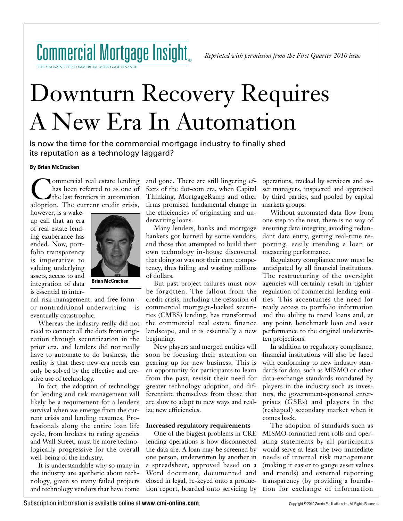

THE MAGAZINE FOR COMMERCIAL MORTGAGE FINANCE

# Downturn Recovery Requires A New Era In Automation

Is now the time for the commercial mortgage industry to finally shed its reputation as a technology laggard?

## **By Brian McCracken**

**Commercial real estate lending** has been referred to as one of the last frontiers in automation adoption. The current credit crisis,

however, is a wakeup call that an era of real estate lending exuberance has ended. Now, portfolio transparency is imperative to valuing underlying assets, access to and integration of data is essential to inter-



**Brian McCracken**

nal risk management, and free-form or nontraditional underwriting - is eventually catastrophic.

Whereas the industry really did not need to connect all the dots from origination through securitization in the prior era, and lenders did not really have to automate to do business, the reality is that these new-era needs can only be solved by the effective and creative use of technology.

In fact, the adoption of technology for lending and risk management will likely be a requirement for a lender's survival when we emerge from the current crisis and lending resumes. Professionals along the entire loan life cycle, from brokers to rating agencies and Wall Street, must be more technologically progressive for the overall well-being of the industry.

It is understandable why so many in the industry are apathetic about technology, given so many failed projects and technology vendors that have come and gone. There are still lingering effects of the dot-com era, when Capital Thinking, MortgageRamp and other firms promised fundamental change in the efficiencies of originating and underwriting loans.

Many lenders, banks and mortgage bankers got burned by some vendors, and those that attempted to build their own technology in-house discovered that doing so was not their core competency, thus failing and wasting millions of dollars.

But past project failures must now be forgotten. The fallout from the credit crisis, including the cessation of commercial mortgage-backed securities (CMBS) lending, has transformed the commercial real estate finance landscape, and it is essentially a new beginning.

New players and merged entities will soon be focusing their attention on gearing up for new business. This is an opportunity for participants to learn from the past, revisit their need for greater technology adoption, and differentiate themselves from those that are slow to adapt to new ways and realize new efficiencies.

## **Increased regulatory requirements**

One of the biggest problems in CRE lending operations is how disconnected the data are. A loan may be screened by one person, underwritten by another in a spreadsheet, approved based on a Word document, documented and closed in legal, re-keyed onto a production report, boarded onto servicing by

operations, tracked by servicers and asset managers, inspected and appraised by third parties, and pooled by capital markets groups.

Without automated data flow from one step to the next, there is no way of ensuring data integrity, avoiding redundant data entry, getting real-time reporting, easily trending a loan or measuring performance.

Regulatory compliance now must be anticipated by all financial institutions. The restructuring of the oversight agencies will certainly result in tighter regulation of commercial lending entities. This accentuates the need for ready access to portfolio information and the ability to trend loans and, at any point, benchmark loan and asset performance to the original underwritten projections.

In addition to regulatory compliance, financial institutions will also be faced with conforming to new industry standards for data, such as MISMO or other data-exchange standards mandated by players in the industry such as investors, the government-sponsored enterprises (GSEs) and players in the (reshaped) secondary market when it comes back.

The adoption of standards such as MISMO-formatted rent rolls and operating statements by all participants would serve at least the two immediate needs of internal risk management (making it easier to gauge asset values and trends) and external reporting transparency (by providing a foundation for exchange of information